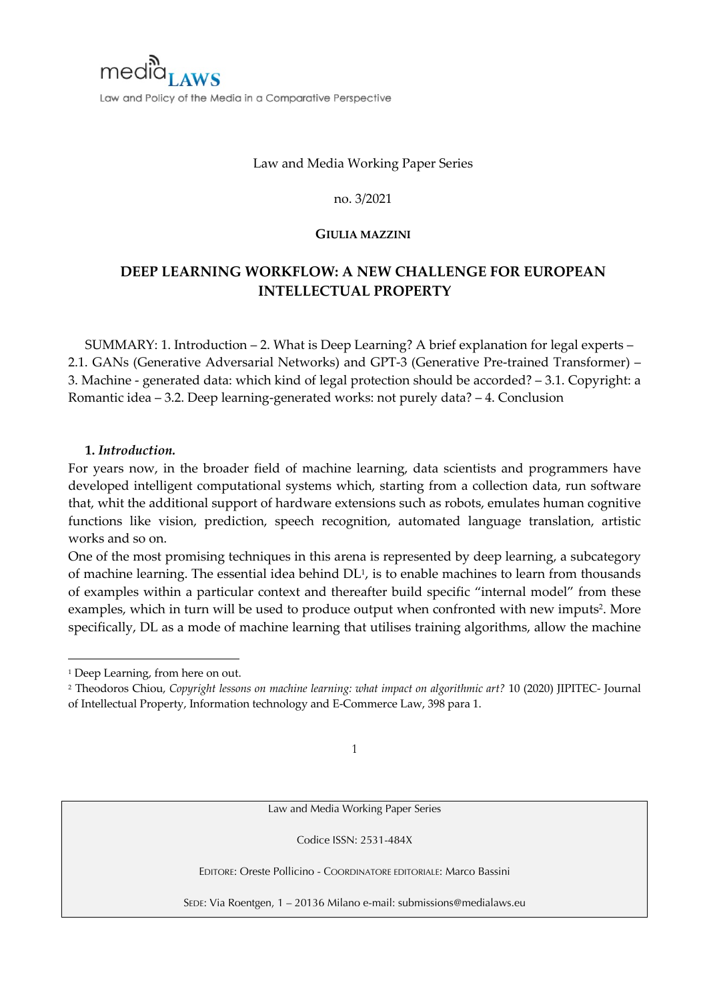

# Law and Media Working Paper Series

#### no. 3/2021

### **GIULIA MAZZINI**

# **DEEP LEARNING WORKFLOW: A NEW CHALLENGE FOR EUROPEAN INTELLECTUAL PROPERTY**

SUMMARY: 1. Introduction – 2. What is Deep Learning? A brief explanation for legal experts – 2.1. GANs (Generative Adversarial Networks) and GPT-3 (Generative Pre-trained Transformer) – 3. Machine - generated data: which kind of legal protection should be accorded? – 3.1. Copyright: a Romantic idea – 3.2. Deep learning-generated works: not purely data? – 4. Conclusion

### **1.** *Introduction.*

For years now, in the broader field of machine learning, data scientists and programmers have developed intelligent computational systems which, starting from a collection data, run software that, whit the additional support of hardware extensions such as robots, emulates human cognitive functions like vision, prediction, speech recognition, automated language translation, artistic works and so on.

One of the most promising techniques in this arena is represented by deep learning, a subcategory of machine learning. The essential idea behind DL<sup>1</sup>, is to enable machines to learn from thousands of examples within a particular context and thereafter build specific "internal model" from these examples, which in turn will be used to produce output when confronted with new imputs<sup>2</sup>. More specifically, DL as a mode of machine learning that utilises training algorithms, allow the machine

1

Law and Media Working Paper Series

Codice ISSN: 2531-484X

EDITORE: Oreste Pollicino - COORDINATORE EDITORIALE: Marco Bassini

SEDE: Via Roentgen, 1 – 20136 Milano e-mail: submissions@medialaws.eu

<sup>&</sup>lt;sup>1</sup> Deep Learning, from here on out.

<sup>2</sup> Theodoros Chiou, *Copyright lessons on machine learning: what impact on algorithmic art?* 10 (2020) JIPITEC- Journal of Intellectual Property, Information technology and E-Commerce Law, 398 para 1.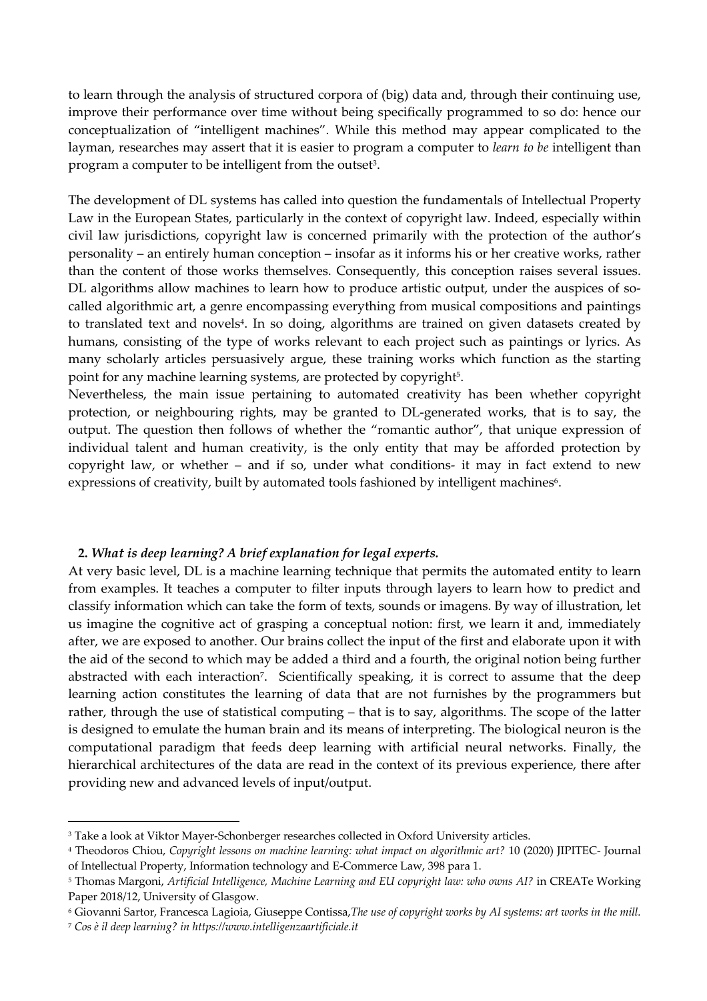to learn through the analysis of structured corpora of (big) data and, through their continuing use, improve their performance over time without being specifically programmed to so do: hence our conceptualization of "intelligent machines". While this method may appear complicated to the layman, researches may assert that it is easier to program a computer to *learn to be* intelligent than program a computer to be intelligent from the outset<sup>3</sup>.

The development of DL systems has called into question the fundamentals of Intellectual Property Law in the European States, particularly in the context of copyright law. Indeed, especially within civil law jurisdictions, copyright law is concerned primarily with the protection of the author's personality – an entirely human conception – insofar as it informs his or her creative works, rather than the content of those works themselves. Consequently, this conception raises several issues. DL algorithms allow machines to learn how to produce artistic output, under the auspices of socalled algorithmic art, a genre encompassing everything from musical compositions and paintings to translated text and novels<sup>4</sup>. In so doing, algorithms are trained on given datasets created by humans, consisting of the type of works relevant to each project such as paintings or lyrics. As many scholarly articles persuasively argue, these training works which function as the starting point for any machine learning systems, are protected by copyright<sup>5</sup>.

Nevertheless, the main issue pertaining to automated creativity has been whether copyright protection, or neighbouring rights, may be granted to DL-generated works, that is to say, the output. The question then follows of whether the "romantic author", that unique expression of individual talent and human creativity, is the only entity that may be afforded protection by copyright law, or whether – and if so, under what conditions- it may in fact extend to new expressions of creativity, built by automated tools fashioned by intelligent machines<sup>6</sup>.

# **2.** *What is deep learning? A brief explanation for legal experts.*

At very basic level, DL is a machine learning technique that permits the automated entity to learn from examples. It teaches a computer to filter inputs through layers to learn how to predict and classify information which can take the form of texts, sounds or imagens. By way of illustration, let us imagine the cognitive act of grasping a conceptual notion: first, we learn it and, immediately after, we are exposed to another. Our brains collect the input of the first and elaborate upon it with the aid of the second to which may be added a third and a fourth, the original notion being further abstracted with each interaction<sup>7</sup>. Scientifically speaking, it is correct to assume that the deep learning action constitutes the learning of data that are not furnishes by the programmers but rather, through the use of statistical computing – that is to say, algorithms. The scope of the latter is designed to emulate the human brain and its means of interpreting. The biological neuron is the computational paradigm that feeds deep learning with artificial neural networks. Finally, the hierarchical architectures of the data are read in the context of its previous experience, there after providing new and advanced levels of input/output.

<sup>&</sup>lt;sup>3</sup> Take a look at Viktor Mayer-Schonberger researches collected in Oxford University articles.

<sup>4</sup> Theodoros Chiou, *Copyright lessons on machine learning: what impact on algorithmic art?* 10 (2020) JIPITEC- Journal of Intellectual Property, Information technology and E-Commerce Law, 398 para 1.

<sup>5</sup> Thomas Margoni, *Artificial Intelligence, Machine Learning and EU copyright law: who owns AI?* in CREATe Working Paper 2018/12, University of Glasgow.

<sup>6</sup> Giovanni Sartor, Francesca Lagioia, Giuseppe Contissa,*The use of copyright works by AI systems: art works in the mill.*

<sup>7</sup> *Cos è il deep learning? in https://www.intelligenzaartificiale.it*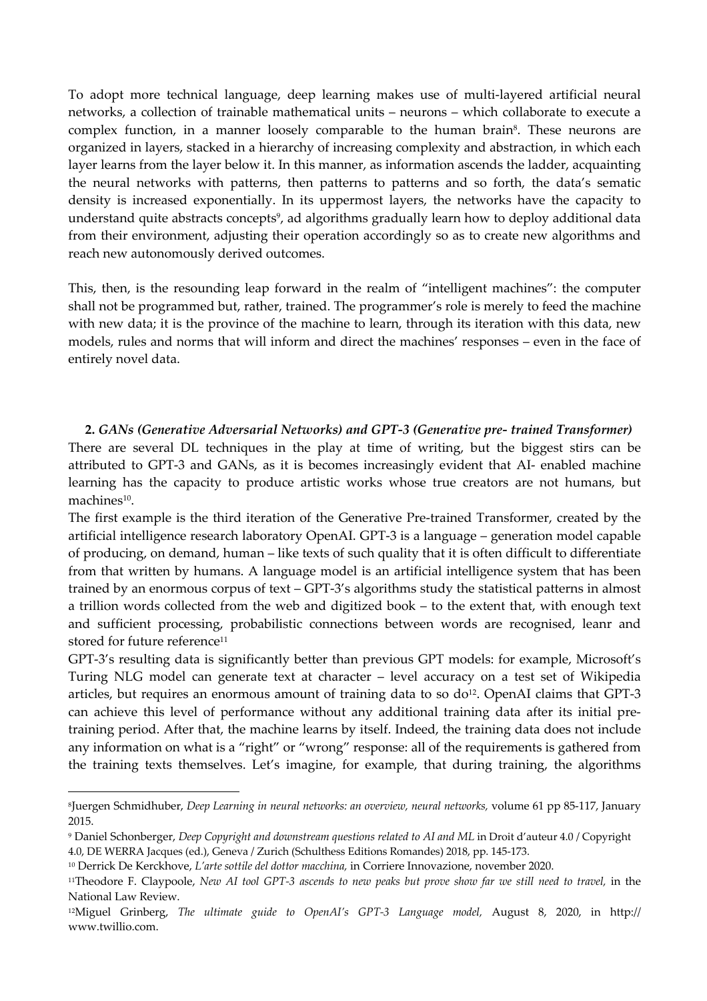To adopt more technical language, deep learning makes use of multi-layered artificial neural networks, a collection of trainable mathematical units – neurons – which collaborate to execute a complex function, in a manner loosely comparable to the human brain<sup>8</sup>. These neurons are organized in layers, stacked in a hierarchy of increasing complexity and abstraction, in which each layer learns from the layer below it. In this manner, as information ascends the ladder, acquainting the neural networks with patterns, then patterns to patterns and so forth, the data's sematic density is increased exponentially. In its uppermost layers, the networks have the capacity to understand quite abstracts concepts<sup>9</sup>, ad algorithms gradually learn how to deploy additional data from their environment, adjusting their operation accordingly so as to create new algorithms and reach new autonomously derived outcomes.

This, then, is the resounding leap forward in the realm of "intelligent machines": the computer shall not be programmed but, rather, trained. The programmer's role is merely to feed the machine with new data; it is the province of the machine to learn, through its iteration with this data, new models, rules and norms that will inform and direct the machines' responses – even in the face of entirely novel data.

# **2.** *GANs (Generative Adversarial Networks) and GPT-3 (Generative pre- trained Transformer)*

There are several DL techniques in the play at time of writing, but the biggest stirs can be attributed to GPT-3 and GANs, as it is becomes increasingly evident that AI- enabled machine learning has the capacity to produce artistic works whose true creators are not humans, but machines<sup>10</sup>.

The first example is the third iteration of the Generative Pre-trained Transformer, created by the artificial intelligence research laboratory OpenAI. GPT-3 is a language – generation model capable of producing, on demand, human – like texts of such quality that it is often difficult to differentiate from that written by humans. A language model is an artificial intelligence system that has been trained by an enormous corpus of text – GPT-3's algorithms study the statistical patterns in almost a trillion words collected from the web and digitized book – to the extent that, with enough text and sufficient processing, probabilistic connections between words are recognised, leanr and stored for future reference<sup>11</sup>

GPT-3's resulting data is significantly better than previous GPT models: for example, Microsoft's Turing NLG model can generate text at character – level accuracy on a test set of Wikipedia articles, but requires an enormous amount of training data to so  $do<sup>12</sup>$ . OpenAI claims that GPT-3 can achieve this level of performance without any additional training data after its initial pretraining period. After that, the machine learns by itself. Indeed, the training data does not include any information on what is a "right" or "wrong" response: all of the requirements is gathered from the training texts themselves. Let's imagine, for example, that during training, the algorithms

<sup>8</sup>Juergen Schmidhuber, *Deep Learning in neural networks: an overview, neural networks,* volume 61 pp 85-117, January 2015.

<sup>9</sup> Daniel Schonberger, *Deep Copyright and downstream questions related to AI and ML* in Droit d'auteur 4.0 / Copyright 4.0, DE WERRA Jacques (ed.), Geneva / Zurich (Schulthess Editions Romandes) 2018, pp. 145-173.

<sup>10</sup> Derrick De Kerckhove, *L'arte sottile del dottor macchina,* in Corriere Innovazione, november 2020.

<sup>&</sup>lt;sup>11</sup>Theodore F. Claypoole, *New AI tool GPT-3 ascends to new peaks but prove show far we still need to travel, in the* National Law Review.

<sup>12</sup>Miguel Grinberg, *The ultimate guide to OpenAI's GPT-3 Language model,* August 8, 2020, in http:// www.twillio.com.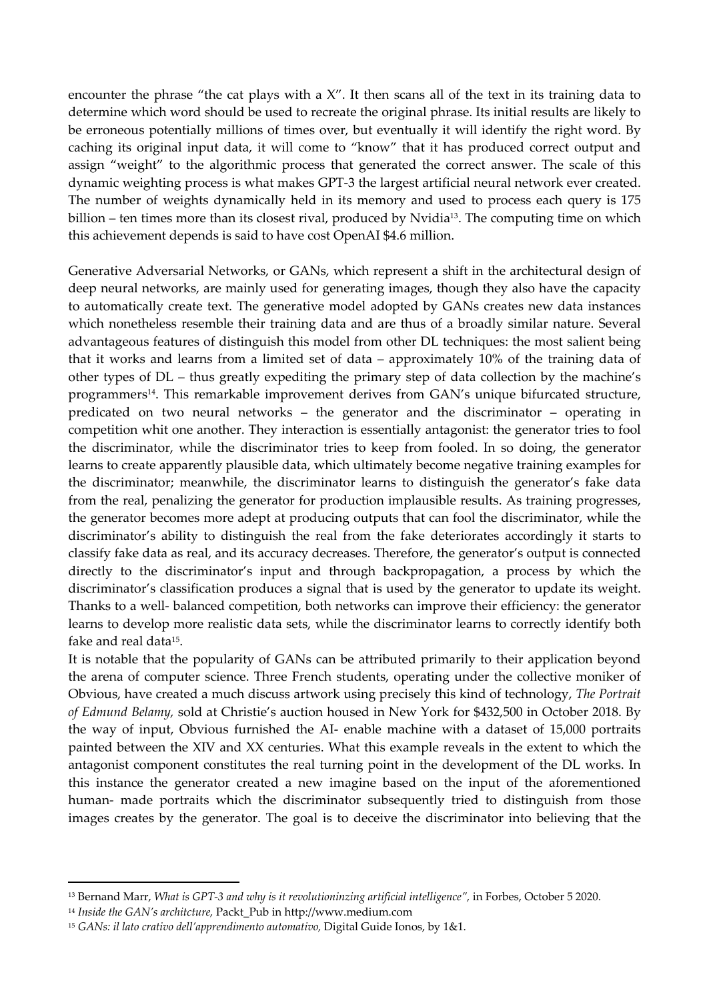encounter the phrase "the cat plays with a  $X$ ". It then scans all of the text in its training data to determine which word should be used to recreate the original phrase. Its initial results are likely to be erroneous potentially millions of times over, but eventually it will identify the right word. By caching its original input data, it will come to "know" that it has produced correct output and assign "weight" to the algorithmic process that generated the correct answer. The scale of this dynamic weighting process is what makes GPT-3 the largest artificial neural network ever created. The number of weights dynamically held in its memory and used to process each query is 175 billion – ten times more than its closest rival, produced by Nvidia<sup>13</sup>. The computing time on which this achievement depends is said to have cost OpenAI \$4.6 million.

Generative Adversarial Networks, or GANs, which represent a shift in the architectural design of deep neural networks, are mainly used for generating images, though they also have the capacity to automatically create text. The generative model adopted by GANs creates new data instances which nonetheless resemble their training data and are thus of a broadly similar nature. Several advantageous features of distinguish this model from other DL techniques: the most salient being that it works and learns from a limited set of data – approximately 10% of the training data of other types of DL – thus greatly expediting the primary step of data collection by the machine's programmers<sup>14</sup>. This remarkable improvement derives from GAN's unique bifurcated structure, predicated on two neural networks – the generator and the discriminator – operating in competition whit one another. They interaction is essentially antagonist: the generator tries to fool the discriminator, while the discriminator tries to keep from fooled. In so doing, the generator learns to create apparently plausible data, which ultimately become negative training examples for the discriminator; meanwhile, the discriminator learns to distinguish the generator's fake data from the real, penalizing the generator for production implausible results. As training progresses, the generator becomes more adept at producing outputs that can fool the discriminator, while the discriminator's ability to distinguish the real from the fake deteriorates accordingly it starts to classify fake data as real, and its accuracy decreases. Therefore, the generator's output is connected directly to the discriminator's input and through backpropagation, a process by which the discriminator's classification produces a signal that is used by the generator to update its weight. Thanks to a well- balanced competition, both networks can improve their efficiency: the generator learns to develop more realistic data sets, while the discriminator learns to correctly identify both fake and real data15.

It is notable that the popularity of GANs can be attributed primarily to their application beyond the arena of computer science. Three French students, operating under the collective moniker of Obvious, have created a much discuss artwork using precisely this kind of technology, *The Portrait of Edmund Belamy,* sold at Christie's auction housed in New York for \$432,500 in October 2018. By the way of input, Obvious furnished the AI- enable machine with a dataset of 15,000 portraits painted between the XIV and XX centuries. What this example reveals in the extent to which the antagonist component constitutes the real turning point in the development of the DL works. In this instance the generator created a new imagine based on the input of the aforementioned human- made portraits which the discriminator subsequently tried to distinguish from those images creates by the generator. The goal is to deceive the discriminator into believing that the

<sup>13</sup> Bernand Marr, *What is GPT-3 and why is it revolutioninzing artificial intelligence",* in Forbes, October 5 2020.

<sup>14</sup> *Inside the GAN's architcture,* Packt\_Pub in http://www.medium.com

<sup>15</sup> *GANs: il lato crativo dell'apprendimento automativo,* Digital Guide Ionos, by 1&1.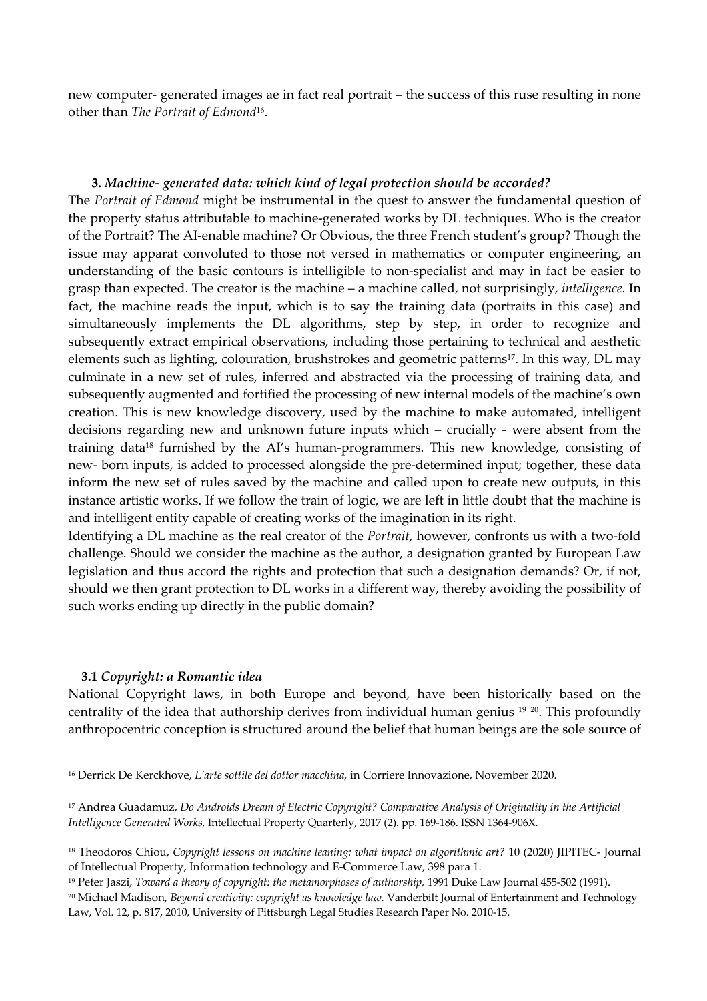new computer- generated images ae in fact real portrait – the success of this ruse resulting in none other than *The Portrait of Edmond*16.

## **3.** *Machine- generated data: which kind of legal protection should be accorded?*

The *Portrait of Edmond* might be instrumental in the quest to answer the fundamental question of the property status attributable to machine-generated works by DL techniques. Who is the creator of the Portrait? The AI-enable machine? Or Obvious, the three French student's group? Though the issue may apparat convoluted to those not versed in mathematics or computer engineering, an understanding of the basic contours is intelligible to non-specialist and may in fact be easier to grasp than expected. The creator is the machine – a machine called, not surprisingly, *intelligence.* In fact, the machine reads the input, which is to say the training data (portraits in this case) and simultaneously implements the DL algorithms, step by step, in order to recognize and subsequently extract empirical observations, including those pertaining to technical and aesthetic elements such as lighting, colouration, brushstrokes and geometric patterns<sup>17</sup>. In this way, DL may culminate in a new set of rules, inferred and abstracted via the processing of training data, and subsequently augmented and fortified the processing of new internal models of the machine's own creation. This is new knowledge discovery, used by the machine to make automated, intelligent decisions regarding new and unknown future inputs which – crucially - were absent from the training data<sup>18</sup> furnished by the AI's human-programmers. This new knowledge, consisting of new- born inputs, is added to processed alongside the pre-determined input; together, these data inform the new set of rules saved by the machine and called upon to create new outputs, in this instance artistic works. If we follow the train of logic, we are left in little doubt that the machine is and intelligent entity capable of creating works of the imagination in its right.

Identifying a DL machine as the real creator of the *Portrait*, however, confronts us with a two-fold challenge. Should we consider the machine as the author, a designation granted by European Law legislation and thus accord the rights and protection that such a designation demands? Or, if not, should we then grant protection to DL works in a different way, thereby avoiding the possibility of such works ending up directly in the public domain?

### **3.1** *Copyright: a Romantic idea*

National Copyright laws, in both Europe and beyond, have been historically based on the centrality of the idea that authorship derives from individual human genius 19 20. This profoundly anthropocentric conception is structured around the belief that human beings are the sole source of

<sup>16</sup> Derrick De Kerckhove, *L'arte sottile del dottor macchina,* in Corriere Innovazione, November 2020.

<sup>17</sup> Andrea Guadamuz, *Do Androids Dream of Electric Copyright? Comparative Analysis of Originality in the Artificial Intelligence Generated Works,* Intellectual Property Quarterly, 2017 (2). pp. 169-186. ISSN 1364-906X.

<sup>18</sup> Theodoros Chiou, *Copyright lessons on machine leaning: what impact on algorithmic art?* 10 (2020) JIPITEC- Journal of Intellectual Property, Information technology and E-Commerce Law, 398 para 1.

<sup>19</sup> Peter Jaszi, *Toward a theory of copyright: the metamorphoses of authorship,* 1991 Duke Law Journal 455-502 (1991).

<sup>20</sup> Michael Madison, *Beyond creativity: copyright as knowledge law.* Vanderbilt Journal of Entertainment and Technology Law, Vol. 12, p. 817, 2010, University of Pittsburgh Legal Studies Research Paper No. 2010-15.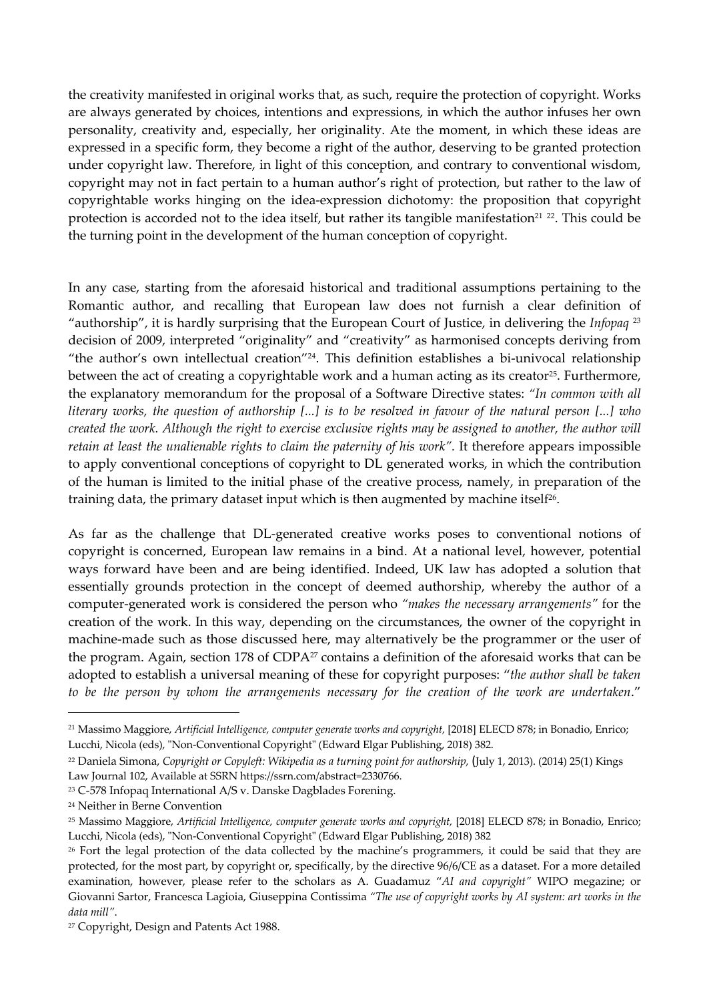the creativity manifested in original works that, as such, require the protection of copyright. Works are always generated by choices, intentions and expressions, in which the author infuses her own personality, creativity and, especially, her originality. Ate the moment, in which these ideas are expressed in a specific form, they become a right of the author, deserving to be granted protection under copyright law. Therefore, in light of this conception, and contrary to conventional wisdom, copyright may not in fact pertain to a human author's right of protection, but rather to the law of copyrightable works hinging on the idea-expression dichotomy: the proposition that copyright protection is accorded not to the idea itself, but rather its tangible manifestation<sup>21</sup> <sup>22</sup>. This could be the turning point in the development of the human conception of copyright.

In any case, starting from the aforesaid historical and traditional assumptions pertaining to the Romantic author, and recalling that European law does not furnish a clear definition of "authorship", it is hardly surprising that the European Court of Justice, in delivering the *Infopaq* <sup>23</sup> decision of 2009, interpreted "originality" and "creativity" as harmonised concepts deriving from "the author's own intellectual creation"24. This definition establishes a bi-univocal relationship between the act of creating a copyrightable work and a human acting as its creator<sup>25</sup>. Furthermore, the explanatory memorandum for the proposal of a Software Directive states: *"In common with all literary works, the question of authorship [...] is to be resolved in favour of the natural person [...] who created the work. Although the right to exercise exclusive rights may be assigned to another, the author will*  retain at least the unalienable rights to claim the paternity of his work". It therefore appears impossible to apply conventional conceptions of copyright to DL generated works, in which the contribution of the human is limited to the initial phase of the creative process, namely, in preparation of the training data, the primary dataset input which is then augmented by machine itself<sup>26</sup>.

As far as the challenge that DL-generated creative works poses to conventional notions of copyright is concerned, European law remains in a bind. At a national level, however, potential ways forward have been and are being identified. Indeed, UK law has adopted a solution that essentially grounds protection in the concept of deemed authorship, whereby the author of a computer-generated work is considered the person who *"makes the necessary arrangements"* for the creation of the work. In this way, depending on the circumstances, the owner of the copyright in machine-made such as those discussed here, may alternatively be the programmer or the user of the program. Again, section 178 of CDPA<sup>27</sup> contains a definition of the aforesaid works that can be adopted to establish a universal meaning of these for copyright purposes: "*the author shall be taken to be the person by whom the arrangements necessary for the creation of the work are undertaken*."

<sup>21</sup> Massimo Maggiore, *Artificial Intelligence, computer generate works and copyright,* [2018] ELECD 878; in Bonadio, Enrico; Lucchi, Nicola (eds), "Non-Conventional Copyright" (Edward Elgar Publishing, 2018) 382.

<sup>22</sup> Daniela Simona, *Copyright or Copyleft: Wikipedia as a turning point for authorship,* (July 1, 2013). (2014) 25(1) Kings Law Journal 102, Available at SSRN https://ssrn.com/abstract=2330766.

<sup>23</sup> C-578 Infopaq International A/S v. Danske Dagblades Forening.

<sup>24</sup> Neither in Berne Convention

<sup>25</sup> Massimo Maggiore, *Artificial Intelligence, computer generate works and copyright,* [2018] ELECD 878; in Bonadio, Enrico; Lucchi, Nicola (eds), "Non-Conventional Copyright" (Edward Elgar Publishing, 2018) 382

<sup>&</sup>lt;sup>26</sup> Fort the legal protection of the data collected by the machine's programmers, it could be said that they are protected, for the most part, by copyright or, specifically, by the directive 96/6/CE as a dataset. For a more detailed examination, however, please refer to the scholars as A. Guadamuz "*AI and copyright"* WIPO megazine; or Giovanni Sartor, Francesca Lagioia, Giuseppina Contissima *"The use of copyright works by AI system: art works in the data mill"*.

<sup>27</sup> Copyright, Design and Patents Act 1988.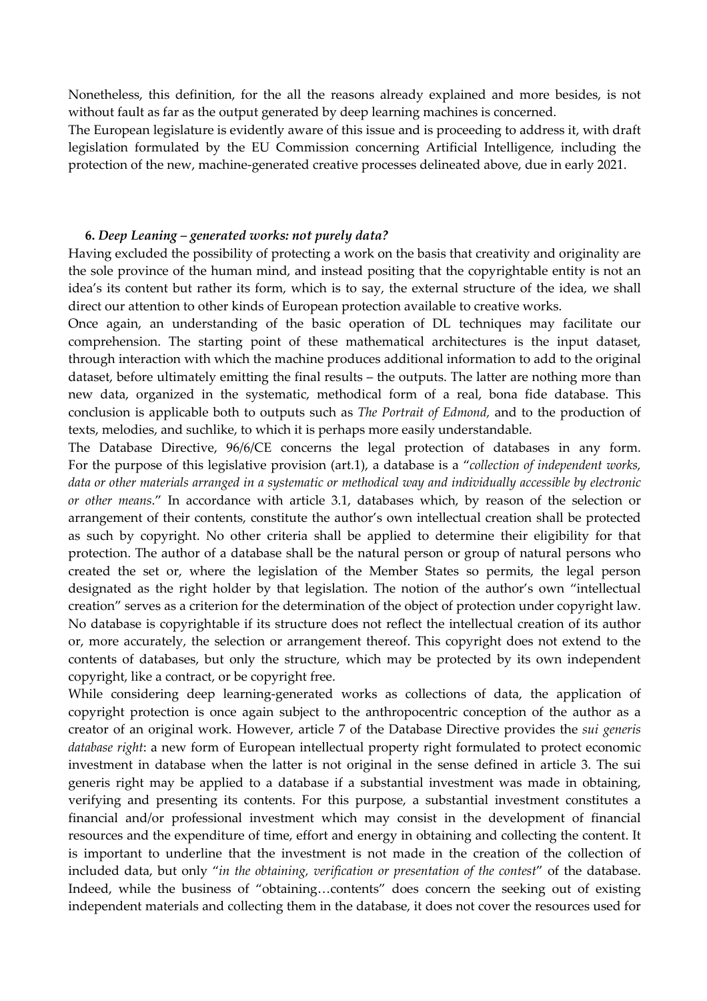Nonetheless, this definition, for the all the reasons already explained and more besides, is not without fault as far as the output generated by deep learning machines is concerned.

The European legislature is evidently aware of this issue and is proceeding to address it, with draft legislation formulated by the EU Commission concerning Artificial Intelligence, including the protection of the new, machine-generated creative processes delineated above, due in early 2021.

### **6.** *Deep Leaning – generated works: not purely data?*

Having excluded the possibility of protecting a work on the basis that creativity and originality are the sole province of the human mind, and instead positing that the copyrightable entity is not an idea's its content but rather its form, which is to say, the external structure of the idea, we shall direct our attention to other kinds of European protection available to creative works.

Once again, an understanding of the basic operation of DL techniques may facilitate our comprehension. The starting point of these mathematical architectures is the input dataset, through interaction with which the machine produces additional information to add to the original dataset, before ultimately emitting the final results – the outputs. The latter are nothing more than new data, organized in the systematic, methodical form of a real, bona fide database. This conclusion is applicable both to outputs such as *The Portrait of Edmond,* and to the production of texts, melodies, and suchlike, to which it is perhaps more easily understandable.

The Database Directive, 96/6/CE concerns the legal protection of databases in any form. For the purpose of this legislative provision (art.1), a database is a "*collection of independent works, data or other materials arranged in a systematic or methodical way and individually accessible by electronic or other means*." In accordance with article 3.1, databases which, by reason of the selection or arrangement of their contents, constitute the author's own intellectual creation shall be protected as such by copyright. No other criteria shall be applied to determine their eligibility for that protection. The author of a database shall be the natural person or group of natural persons who created the set or, where the legislation of the Member States so permits, the legal person designated as the right holder by that legislation. The notion of the author's own "intellectual creation" serves as a criterion for the determination of the object of protection under copyright law. No database is copyrightable if its structure does not reflect the intellectual creation of its author or, more accurately, the selection or arrangement thereof. This copyright does not extend to the contents of databases, but only the structure, which may be protected by its own independent copyright, like a contract, or be copyright free.

While considering deep learning-generated works as collections of data, the application of copyright protection is once again subject to the anthropocentric conception of the author as a creator of an original work. However, article 7 of the Database Directive provides the *sui generis database right*: a new form of European intellectual property right formulated to protect economic investment in database when the latter is not original in the sense defined in article 3. The sui generis right may be applied to a database if a substantial investment was made in obtaining, verifying and presenting its contents. For this purpose, a substantial investment constitutes a financial and/or professional investment which may consist in the development of financial resources and the expenditure of time, effort and energy in obtaining and collecting the content. It is important to underline that the investment is not made in the creation of the collection of included data, but only "*in the obtaining, verification or presentation of the contest*" of the database. Indeed, while the business of "obtaining…contents" does concern the seeking out of existing independent materials and collecting them in the database, it does not cover the resources used for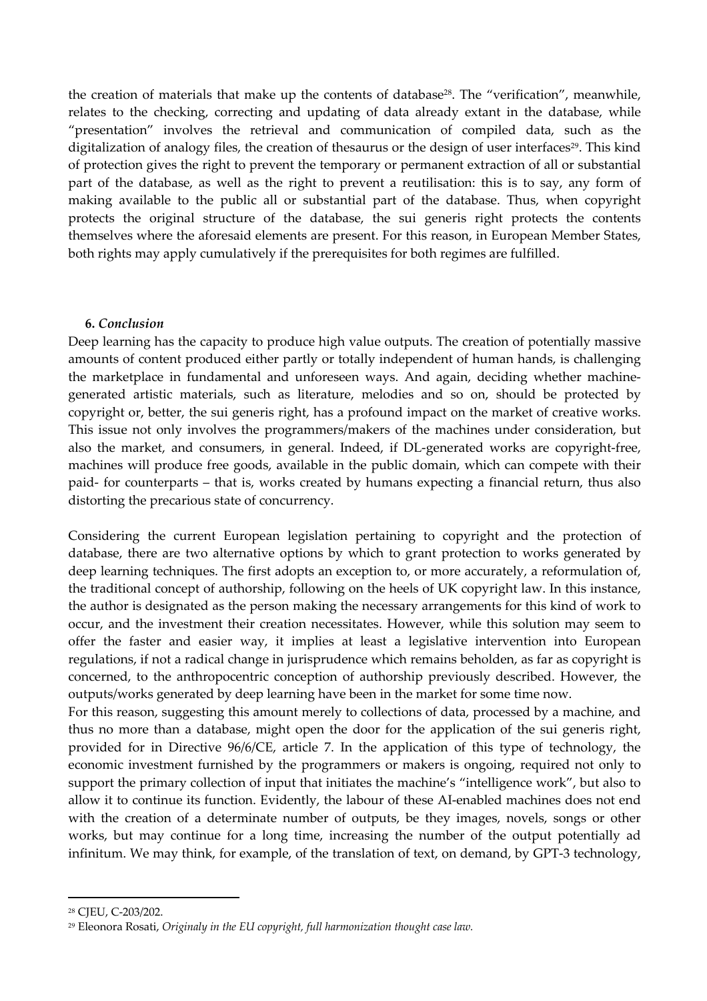the creation of materials that make up the contents of database<sup>28</sup>. The "verification", meanwhile, relates to the checking, correcting and updating of data already extant in the database, while "presentation" involves the retrieval and communication of compiled data, such as the digitalization of analogy files, the creation of thesaurus or the design of user interfaces<sup>29</sup>. This kind of protection gives the right to prevent the temporary or permanent extraction of all or substantial part of the database, as well as the right to prevent a reutilisation: this is to say, any form of making available to the public all or substantial part of the database. Thus, when copyright protects the original structure of the database, the sui generis right protects the contents themselves where the aforesaid elements are present. For this reason, in European Member States, both rights may apply cumulatively if the prerequisites for both regimes are fulfilled.

## **6.** *Conclusion*

Deep learning has the capacity to produce high value outputs. The creation of potentially massive amounts of content produced either partly or totally independent of human hands, is challenging the marketplace in fundamental and unforeseen ways. And again, deciding whether machinegenerated artistic materials, such as literature, melodies and so on, should be protected by copyright or, better, the sui generis right, has a profound impact on the market of creative works. This issue not only involves the programmers/makers of the machines under consideration, but also the market, and consumers, in general. Indeed, if DL-generated works are copyright-free, machines will produce free goods, available in the public domain, which can compete with their paid- for counterparts – that is, works created by humans expecting a financial return, thus also distorting the precarious state of concurrency.

Considering the current European legislation pertaining to copyright and the protection of database, there are two alternative options by which to grant protection to works generated by deep learning techniques. The first adopts an exception to, or more accurately, a reformulation of, the traditional concept of authorship, following on the heels of UK copyright law. In this instance, the author is designated as the person making the necessary arrangements for this kind of work to occur, and the investment their creation necessitates. However, while this solution may seem to offer the faster and easier way, it implies at least a legislative intervention into European regulations, if not a radical change in jurisprudence which remains beholden, as far as copyright is concerned, to the anthropocentric conception of authorship previously described. However, the outputs/works generated by deep learning have been in the market for some time now.

For this reason, suggesting this amount merely to collections of data, processed by a machine, and thus no more than a database, might open the door for the application of the sui generis right, provided for in Directive 96/6/CE, article 7. In the application of this type of technology, the economic investment furnished by the programmers or makers is ongoing, required not only to support the primary collection of input that initiates the machine's "intelligence work", but also to allow it to continue its function. Evidently, the labour of these AI-enabled machines does not end with the creation of a determinate number of outputs, be they images, novels, songs or other works, but may continue for a long time, increasing the number of the output potentially ad infinitum. We may think, for example, of the translation of text, on demand, by GPT-3 technology,

<sup>28</sup> CJEU, C-203/202.

<sup>29</sup> Eleonora Rosati, *Originaly in the EU copyright, full harmonization thought case law.*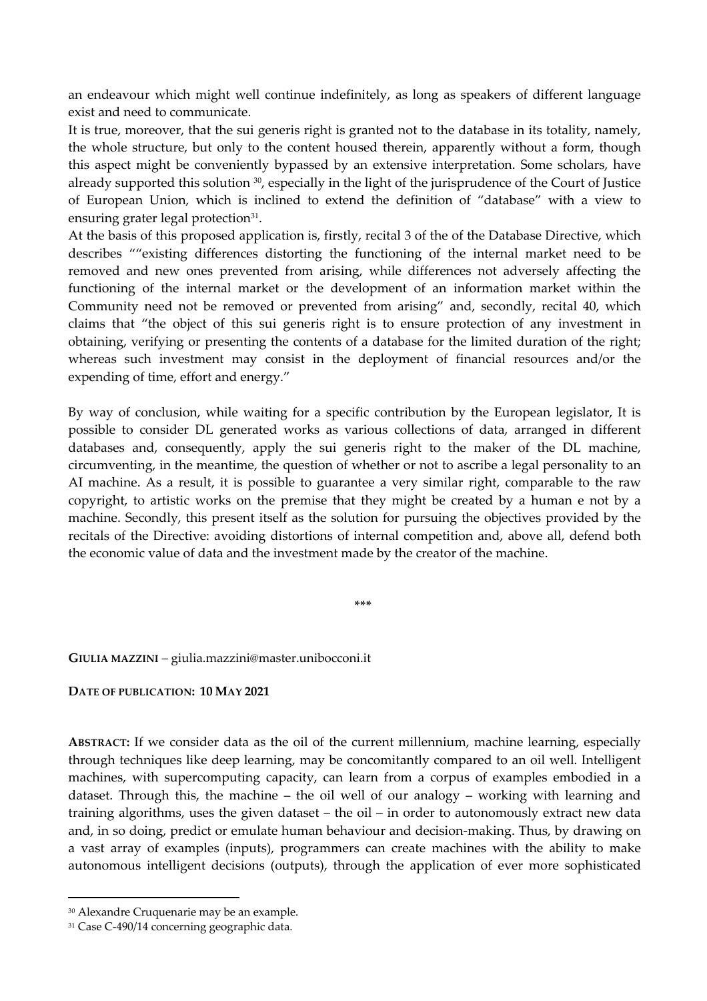an endeavour which might well continue indefinitely, as long as speakers of different language exist and need to communicate.

It is true, moreover, that the sui generis right is granted not to the database in its totality, namely, the whole structure, but only to the content housed therein, apparently without a form, though this aspect might be conveniently bypassed by an extensive interpretation. Some scholars, have already supported this solution <sup>30</sup>, especially in the light of the jurisprudence of the Court of Justice of European Union, which is inclined to extend the definition of "database" with a view to ensuring grater legal protection<sup>31</sup>.

At the basis of this proposed application is, firstly, recital 3 of the of the Database Directive, which describes ""existing differences distorting the functioning of the internal market need to be removed and new ones prevented from arising, while differences not adversely affecting the functioning of the internal market or the development of an information market within the Community need not be removed or prevented from arising" and, secondly, recital 40, which claims that "the object of this sui generis right is to ensure protection of any investment in obtaining, verifying or presenting the contents of a database for the limited duration of the right; whereas such investment may consist in the deployment of financial resources and/or the expending of time, effort and energy."

By way of conclusion, while waiting for a specific contribution by the European legislator, It is possible to consider DL generated works as various collections of data, arranged in different databases and, consequently, apply the sui generis right to the maker of the DL machine, circumventing, in the meantime, the question of whether or not to ascribe a legal personality to an AI machine. As a result, it is possible to guarantee a very similar right, comparable to the raw copyright, to artistic works on the premise that they might be created by a human e not by a machine. Secondly, this present itself as the solution for pursuing the objectives provided by the recitals of the Directive: avoiding distortions of internal competition and, above all, defend both the economic value of data and the investment made by the creator of the machine.

**\*\*\***

**GIULIA MAZZINI** – giulia.mazzini@master.unibocconi.it

# **DATE OF PUBLICATION: 10 MAY 2021**

**ABSTRACT:** If we consider data as the oil of the current millennium, machine learning, especially through techniques like deep learning, may be concomitantly compared to an oil well. Intelligent machines, with supercomputing capacity, can learn from a corpus of examples embodied in a dataset. Through this, the machine – the oil well of our analogy – working with learning and training algorithms, uses the given dataset – the oil – in order to autonomously extract new data and, in so doing, predict or emulate human behaviour and decision-making. Thus, by drawing on a vast array of examples (inputs), programmers can create machines with the ability to make autonomous intelligent decisions (outputs), through the application of ever more sophisticated

<sup>30</sup> Alexandre Cruquenarie may be an example.

<sup>&</sup>lt;sup>31</sup> Case C-490/14 concerning geographic data.